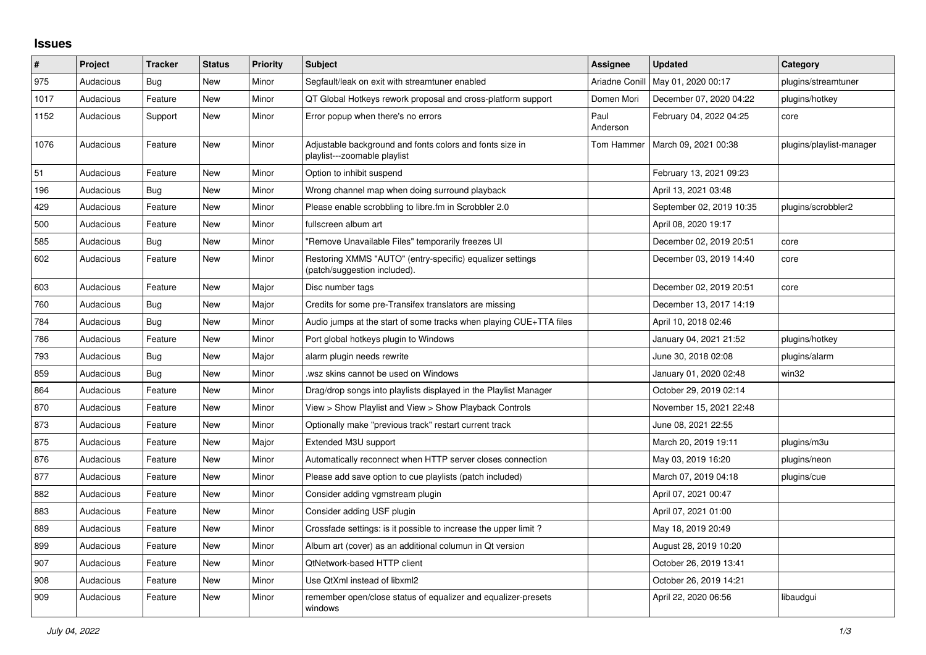## **Issues**

| $\#$ | Project   | <b>Tracker</b> | <b>Status</b> | <b>Priority</b> | <b>Subject</b>                                                                            | Assignee         | <b>Updated</b>           | Category                 |
|------|-----------|----------------|---------------|-----------------|-------------------------------------------------------------------------------------------|------------------|--------------------------|--------------------------|
| 975  | Audacious | <b>Bug</b>     | New           | Minor           | Segfault/leak on exit with streamtuner enabled                                            | Ariadne Conill   | May 01, 2020 00:17       | plugins/streamtuner      |
| 1017 | Audacious | Feature        | New           | Minor           | QT Global Hotkeys rework proposal and cross-platform support                              | Domen Mori       | December 07, 2020 04:22  | plugins/hotkey           |
| 1152 | Audacious | Support        | New           | Minor           | Error popup when there's no errors                                                        | Paul<br>Anderson | February 04, 2022 04:25  | core                     |
| 1076 | Audacious | Feature        | New           | Minor           | Adjustable background and fonts colors and fonts size in<br>playlist---zoomable playlist  | Tom Hammer       | March 09, 2021 00:38     | plugins/playlist-manager |
| 51   | Audacious | Feature        | New           | Minor           | Option to inhibit suspend                                                                 |                  | February 13, 2021 09:23  |                          |
| 196  | Audacious | <b>Bug</b>     | New           | Minor           | Wrong channel map when doing surround playback                                            |                  | April 13, 2021 03:48     |                          |
| 429  | Audacious | Feature        | New           | Minor           | Please enable scrobbling to libre.fm in Scrobbler 2.0                                     |                  | September 02, 2019 10:35 | plugins/scrobbler2       |
| 500  | Audacious | Feature        | New           | Minor           | fullscreen album art                                                                      |                  | April 08, 2020 19:17     |                          |
| 585  | Audacious | Bug            | New           | Minor           | "Remove Unavailable Files" temporarily freezes UI                                         |                  | December 02, 2019 20:51  | core                     |
| 602  | Audacious | Feature        | New           | Minor           | Restoring XMMS "AUTO" (entry-specific) equalizer settings<br>(patch/suggestion included). |                  | December 03, 2019 14:40  | core                     |
| 603  | Audacious | Feature        | New           | Major           | Disc number tags                                                                          |                  | December 02, 2019 20:51  | core                     |
| 760  | Audacious | Bug            | <b>New</b>    | Major           | Credits for some pre-Transifex translators are missing                                    |                  | December 13, 2017 14:19  |                          |
| 784  | Audacious | Bug            | <b>New</b>    | Minor           | Audio jumps at the start of some tracks when playing CUE+TTA files                        |                  | April 10, 2018 02:46     |                          |
| 786  | Audacious | Feature        | New           | Minor           | Port global hotkeys plugin to Windows                                                     |                  | January 04, 2021 21:52   | plugins/hotkey           |
| 793  | Audacious | Bug            | New           | Major           | alarm plugin needs rewrite                                                                |                  | June 30, 2018 02:08      | plugins/alarm            |
| 859  | Audacious | Bug            | New           | Minor           | wsz skins cannot be used on Windows                                                       |                  | January 01, 2020 02:48   | win32                    |
| 864  | Audacious | Feature        | New           | Minor           | Drag/drop songs into playlists displayed in the Playlist Manager                          |                  | October 29, 2019 02:14   |                          |
| 870  | Audacious | Feature        | <b>New</b>    | Minor           | View > Show Playlist and View > Show Playback Controls                                    |                  | November 15, 2021 22:48  |                          |
| 873  | Audacious | Feature        | New           | Minor           | Optionally make "previous track" restart current track                                    |                  | June 08, 2021 22:55      |                          |
| 875  | Audacious | Feature        | <b>New</b>    | Major           | Extended M3U support                                                                      |                  | March 20, 2019 19:11     | plugins/m3u              |
| 876  | Audacious | Feature        | New           | Minor           | Automatically reconnect when HTTP server closes connection                                |                  | May 03, 2019 16:20       | plugins/neon             |
| 877  | Audacious | Feature        | New           | Minor           | Please add save option to cue playlists (patch included)                                  |                  | March 07, 2019 04:18     | plugins/cue              |
| 882  | Audacious | Feature        | New           | Minor           | Consider adding vgmstream plugin                                                          |                  | April 07, 2021 00:47     |                          |
| 883  | Audacious | Feature        | New           | Minor           | Consider adding USF plugin                                                                |                  | April 07, 2021 01:00     |                          |
| 889  | Audacious | Feature        | <b>New</b>    | Minor           | Crossfade settings: is it possible to increase the upper limit?                           |                  | May 18, 2019 20:49       |                          |
| 899  | Audacious | Feature        | <b>New</b>    | Minor           | Album art (cover) as an additional columun in Qt version                                  |                  | August 28, 2019 10:20    |                          |
| 907  | Audacious | Feature        | New           | Minor           | QtNetwork-based HTTP client                                                               |                  | October 26, 2019 13:41   |                          |
| 908  | Audacious | Feature        | New           | Minor           | Use QtXml instead of libxml2                                                              |                  | October 26, 2019 14:21   |                          |
| 909  | Audacious | Feature        | New           | Minor           | remember open/close status of equalizer and equalizer-presets<br>windows                  |                  | April 22, 2020 06:56     | libaudgui                |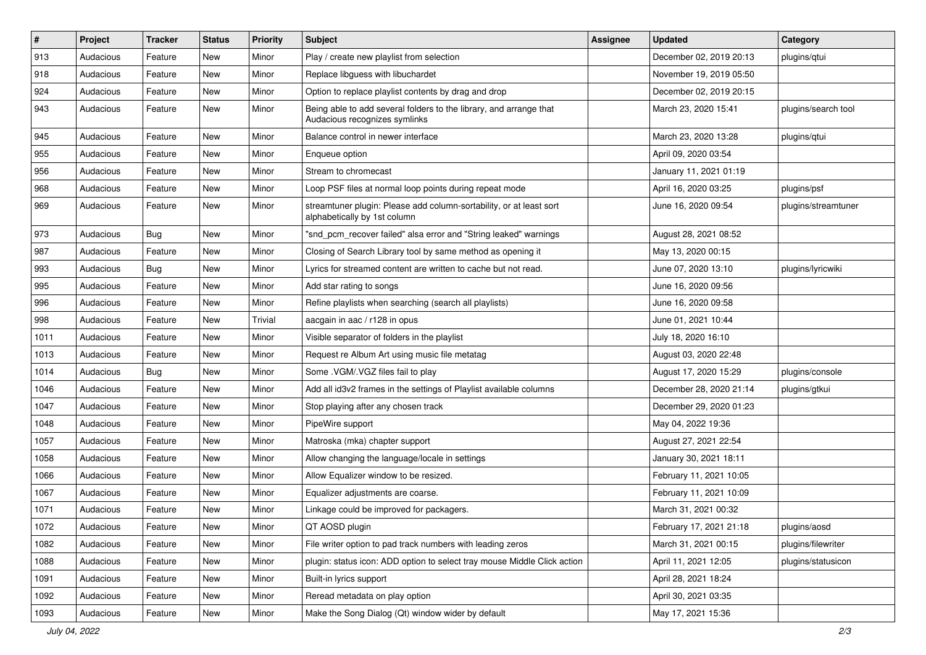| $\vert$ # | Project   | <b>Tracker</b> | <b>Status</b> | <b>Priority</b> | <b>Subject</b>                                                                                      | <b>Assignee</b> | <b>Updated</b>          | Category            |
|-----------|-----------|----------------|---------------|-----------------|-----------------------------------------------------------------------------------------------------|-----------------|-------------------------|---------------------|
| 913       | Audacious | Feature        | New           | Minor           | Play / create new playlist from selection                                                           |                 | December 02, 2019 20:13 | plugins/qtui        |
| 918       | Audacious | Feature        | <b>New</b>    | Minor           | Replace libguess with libuchardet                                                                   |                 | November 19, 2019 05:50 |                     |
| 924       | Audacious | Feature        | New           | Minor           | Option to replace playlist contents by drag and drop                                                |                 | December 02, 2019 20:15 |                     |
| 943       | Audacious | Feature        | New           | Minor           | Being able to add several folders to the library, and arrange that<br>Audacious recognizes symlinks |                 | March 23, 2020 15:41    | plugins/search tool |
| 945       | Audacious | Feature        | New           | Minor           | Balance control in newer interface                                                                  |                 | March 23, 2020 13:28    | plugins/qtui        |
| 955       | Audacious | Feature        | New           | Minor           | Enqueue option                                                                                      |                 | April 09, 2020 03:54    |                     |
| 956       | Audacious | Feature        | New           | Minor           | Stream to chromecast                                                                                |                 | January 11, 2021 01:19  |                     |
| 968       | Audacious | Feature        | New           | Minor           | Loop PSF files at normal loop points during repeat mode                                             |                 | April 16, 2020 03:25    | plugins/psf         |
| 969       | Audacious | Feature        | <b>New</b>    | Minor           | streamtuner plugin: Please add column-sortability, or at least sort<br>alphabetically by 1st column |                 | June 16, 2020 09:54     | plugins/streamtuner |
| 973       | Audacious | <b>Bug</b>     | New           | Minor           | "snd_pcm_recover failed" alsa error and "String leaked" warnings                                    |                 | August 28, 2021 08:52   |                     |
| 987       | Audacious | Feature        | New           | Minor           | Closing of Search Library tool by same method as opening it                                         |                 | May 13, 2020 00:15      |                     |
| 993       | Audacious | Bug            | New           | Minor           | Lyrics for streamed content are written to cache but not read.                                      |                 | June 07, 2020 13:10     | plugins/lyricwiki   |
| 995       | Audacious | Feature        | <b>New</b>    | Minor           | Add star rating to songs                                                                            |                 | June 16, 2020 09:56     |                     |
| 996       | Audacious | Feature        | New           | Minor           | Refine playlists when searching (search all playlists)                                              |                 | June 16, 2020 09:58     |                     |
| 998       | Audacious | Feature        | New           | Trivial         | aacgain in aac / r128 in opus                                                                       |                 | June 01, 2021 10:44     |                     |
| 1011      | Audacious | Feature        | <b>New</b>    | Minor           | Visible separator of folders in the playlist                                                        |                 | July 18, 2020 16:10     |                     |
| 1013      | Audacious | Feature        | New           | Minor           | Request re Album Art using music file metatag                                                       |                 | August 03, 2020 22:48   |                     |
| 1014      | Audacious | <b>Bug</b>     | <b>New</b>    | Minor           | Some .VGM/.VGZ files fail to play                                                                   |                 | August 17, 2020 15:29   | plugins/console     |
| 1046      | Audacious | Feature        | New           | Minor           | Add all id3v2 frames in the settings of Playlist available columns                                  |                 | December 28, 2020 21:14 | plugins/gtkui       |
| 1047      | Audacious | Feature        | New           | Minor           | Stop playing after any chosen track                                                                 |                 | December 29, 2020 01:23 |                     |
| 1048      | Audacious | Feature        | <b>New</b>    | Minor           | PipeWire support                                                                                    |                 | May 04, 2022 19:36      |                     |
| 1057      | Audacious | Feature        | New           | Minor           | Matroska (mka) chapter support                                                                      |                 | August 27, 2021 22:54   |                     |
| 1058      | Audacious | Feature        | New           | Minor           | Allow changing the language/locale in settings                                                      |                 | January 30, 2021 18:11  |                     |
| 1066      | Audacious | Feature        | New           | Minor           | Allow Equalizer window to be resized.                                                               |                 | February 11, 2021 10:05 |                     |
| 1067      | Audacious | Feature        | New           | Minor           | Equalizer adjustments are coarse.                                                                   |                 | February 11, 2021 10:09 |                     |
| 1071      | Audacious | Feature        | <b>New</b>    | Minor           | Linkage could be improved for packagers.                                                            |                 | March 31, 2021 00:32    |                     |
| 1072      | Audacious | Feature        | New           | Minor           | QT AOSD plugin                                                                                      |                 | February 17, 2021 21:18 | plugins/aosd        |
| 1082      | Audacious | Feature        | New           | Minor           | File writer option to pad track numbers with leading zeros                                          |                 | March 31, 2021 00:15    | plugins/filewriter  |
| 1088      | Audacious | Feature        | New           | Minor           | plugin: status icon: ADD option to select tray mouse Middle Click action                            |                 | April 11, 2021 12:05    | plugins/statusicon  |
| 1091      | Audacious | Feature        | New           | Minor           | Built-in lyrics support                                                                             |                 | April 28, 2021 18:24    |                     |
| 1092      | Audacious | Feature        | New           | Minor           | Reread metadata on play option                                                                      |                 | April 30, 2021 03:35    |                     |
| 1093      | Audacious | Feature        | New           | Minor           | Make the Song Dialog (Qt) window wider by default                                                   |                 | May 17, 2021 15:36      |                     |